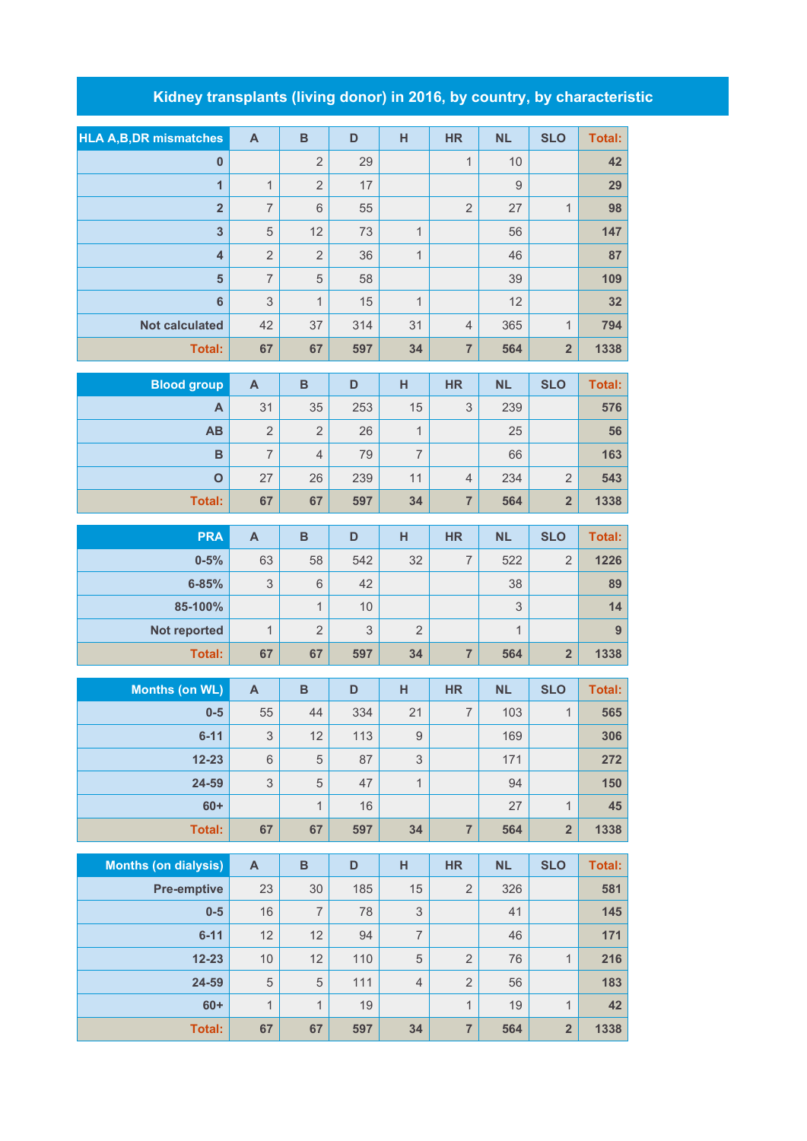## **Kidney transplants (living donor) in 2016, by country, by characteristic**

| <b>HLA A, B, DR mismatches</b> | $\mathsf{A}$              | $\mathbf B$    | D   | H                         | <b>HR</b>               | <b>NL</b>      | <b>SLO</b>              | <b>Total:</b>  |
|--------------------------------|---------------------------|----------------|-----|---------------------------|-------------------------|----------------|-------------------------|----------------|
| $\pmb{0}$                      |                           | $\overline{2}$ | 29  |                           | $\mathbf{1}$            | 10             |                         | 42             |
| $\overline{1}$                 | $\mathbf{1}$              | $\overline{2}$ | 17  |                           |                         | $\overline{9}$ |                         | 29             |
| $\overline{2}$                 | $\overline{7}$            | $6\,$          | 55  |                           | $\overline{2}$          | 27             | $\mathbf{1}$            | 98             |
| $\overline{\mathbf{3}}$        | $\mathbf 5$               | 12             | 73  | $\mathbf{1}$              |                         | 56             |                         | 147            |
| $\overline{\mathbf{4}}$        | $\overline{2}$            | $\overline{2}$ | 36  | $\mathbf{1}$              |                         | 46             |                         | 87             |
| $5\phantom{1}$                 | $\overline{7}$            | $\sqrt{5}$     | 58  |                           |                         | 39             |                         | 109            |
| $6\phantom{1}6$                | 3                         | $\mathbf{1}$   | 15  | $\mathbf{1}$              |                         | 12             |                         | 32             |
| <b>Not calculated</b>          | 42                        | 37             | 314 | 31                        | $\overline{4}$          | 365            | $\mathbf{1}$            | 794            |
| <b>Total:</b>                  | 67                        | 67             | 597 | 34                        | $\overline{7}$          | 564            | $\overline{\mathbf{2}}$ | 1338           |
| <b>Blood group</b>             | $\mathsf{A}$              | $\overline{B}$ | D   | H                         | <b>HR</b>               | <b>NL</b>      | <b>SLO</b>              | <b>Total:</b>  |
| A                              | 31                        | 35             | 253 | 15                        | 3                       | 239            |                         | 576            |
| AB                             | $\overline{2}$            | $\overline{2}$ | 26  | $\mathbf{1}$              |                         | 25             |                         | 56             |
| B                              | $\overline{7}$            | $\overline{4}$ | 79  | $\overline{7}$            |                         | 66             |                         | 163            |
| $\overline{O}$                 | 27                        | 26             | 239 | 11                        | $\overline{4}$          | 234            | $\overline{2}$          | 543            |
| <b>Total:</b>                  | 67                        | 67             | 597 | 34                        | $\overline{7}$          | 564            | $\overline{\mathbf{2}}$ | 1338           |
| <b>PRA</b>                     | $\mathbf{A}$              | $\overline{B}$ | D   | H                         | <b>HR</b>               | <b>NL</b>      | <b>SLO</b>              | <b>Total:</b>  |
| $0 - 5%$                       | 63                        | 58             | 542 | 32                        | $\overline{7}$          | 522            | $\overline{2}$          | 1226           |
| $6 - 85%$                      | $\ensuremath{\mathsf{3}}$ | $\,$ 6 $\,$    | 42  |                           |                         | 38             |                         | 89             |
| 85-100%                        |                           | $\mathbf{1}$   | 10  |                           |                         | $\mathsf 3$    |                         | 14             |
| Not reported                   | 1                         | $\overline{2}$ | 3   | $\overline{2}$            |                         | $\mathbf{1}$   |                         | $\overline{9}$ |
| <b>Total:</b>                  | 67                        | 67             | 597 | 34                        | $\overline{7}$          | 564            | $\overline{\mathbf{2}}$ | 1338           |
|                                |                           |                |     |                           |                         |                |                         |                |
| <b>Months (on WL)</b>          | $\mathbf{A}$              | $\overline{B}$ | D   | H                         | <b>HR</b>               | <b>NL</b>      | <b>SLO</b>              | <b>Total:</b>  |
| $0-5$                          | 55                        | 44             | 334 | 21                        | $\overline{7}$          | 103            | 1                       | 565            |
| $6 - 11$                       | 3                         | 12             | 113 | 9                         |                         | 169            |                         | 306            |
| $12 - 23$                      | $\,6$                     | $\sqrt{5}$     | 87  | $\mathfrak{S}$            |                         | 171            |                         | 272            |
| 24-59                          | $\ensuremath{\mathsf{3}}$ | $\sqrt{5}$     | 47  | $\mathbf{1}$              |                         | 94             |                         | 150            |
| $60+$                          |                           | $\mathbf{1}$   | 16  |                           |                         | 27             | $\mathbf{1}$            | 45             |
| Total:                         | 67                        | 67             | 597 | 34                        | $\overline{7}$          | 564            | $\overline{2}$          | 1338           |
| <b>Months (on dialysis)</b>    | $\boldsymbol{\mathsf{A}}$ | $\, {\bf B}$   | D   | H                         | <b>HR</b>               | <b>NL</b>      | <b>SLO</b>              | <b>Total:</b>  |
| <b>Pre-emptive</b>             | 23                        | 30             | 185 | 15                        | $\overline{2}$          | 326            |                         | 581            |
| $0-5$                          | 16                        | $\overline{7}$ | 78  | $\ensuremath{\mathsf{3}}$ |                         | 41             |                         | 145            |
| $6 - 11$                       | 12                        | 12             | 94  | $\overline{7}$            |                         | 46             |                         | 171            |
| $12 - 23$                      | 10                        | 12             | 110 | $\sqrt{5}$                | $\overline{2}$          | 76             | $\mathbf{1}$            | 216            |
| 24-59                          | $\,$ 5 $\,$               | $\mathbf 5$    | 111 | $\overline{4}$            | $\overline{2}$          | 56             |                         | 183            |
| $60+$                          | $\mathbf{1}$              | $\mathbf{1}$   | 19  |                           | $\mathbf{1}$            | 19             | $\mathbf{1}$            | 42             |
| <b>Total:</b>                  | 67                        | 67             | 597 | 34                        | $\overline{\mathbf{7}}$ | 564            | $\overline{\mathbf{2}}$ | 1338           |